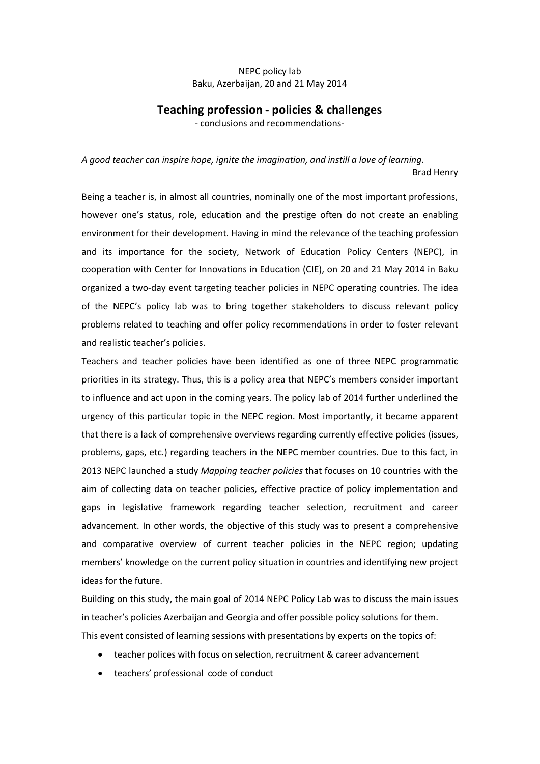# NEPC policy lab Baku, Azerbaijan, 20 and 21 May 2014

## **Teaching profession - policies & challenges**

- conclusions and recommendations-

*A good teacher can inspire hope, ignite the imagination, and instill a love of learning.* Brad Henry

Being a teacher is, in almost all countries, nominally one of the most important professions, however one's status, role, education and the prestige often do not create an enabling environment for their development. Having in mind the relevance of the teaching profession and its importance for the society, Network of Education Policy Centers (NEPC), in cooperation with Center for Innovations in Education (CIE), on 20 and 21 May 2014 in Baku organized a two-day event targeting teacher policies in NEPC operating countries. The idea of the NEPC's policy lab was to bring together stakeholders to discuss relevant policy problems related to teaching and offer policy recommendations in order to foster relevant and realistic teacher's policies.

Teachers and teacher policies have been identified as one of three NEPC programmatic priorities in its strategy. Thus, this is a policy area that NEPC's members consider important to influence and act upon in the coming years. The policy lab of 2014 further underlined the urgency of this particular topic in the NEPC region. Most importantly, it became apparent that there is a lack of comprehensive overviews regarding currently effective policies (issues, problems, gaps, etc.) regarding teachers in the NEPC member countries. Due to this fact, in 2013 NEPC launched a study *Mapping teacher policies* that focuses on 10 countries with the aim of collecting data on teacher policies, effective practice of policy implementation and gaps in legislative framework regarding teacher selection, recruitment and career advancement. In other words, the objective of this study was to present a comprehensive and comparative overview of current teacher policies in the NEPC region; updating members' knowledge on the current policy situation in countries and identifying new project ideas for the future.

Building on this study, the main goal of 2014 NEPC Policy Lab was to discuss the main issues in teacher's policies Azerbaijan and Georgia and offer possible policy solutions for them. This event consisted of learning sessions with presentations by experts on the topics of:

- teacher polices with focus on selection, recruitment & career advancement
- · teachers' professional code of conduct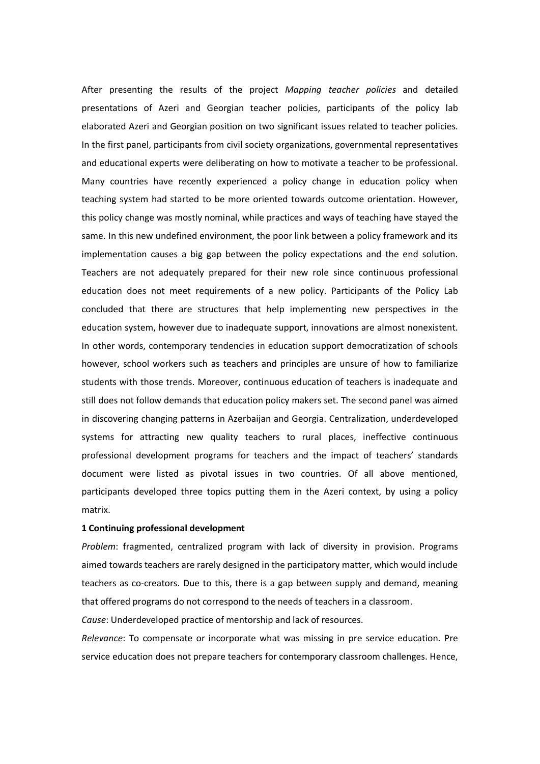After presenting the results of the project *Mapping teacher policies* and detailed presentations of Azeri and Georgian teacher policies, participants of the policy lab elaborated Azeri and Georgian position on two significant issues related to teacher policies. In the first panel, participants from civil society organizations, governmental representatives and educational experts were deliberating on how to motivate a teacher to be professional. Many countries have recently experienced a policy change in education policy when teaching system had started to be more oriented towards outcome orientation. However, this policy change was mostly nominal, while practices and ways of teaching have stayed the same. In this new undefined environment, the poor link between a policy framework and its implementation causes a big gap between the policy expectations and the end solution. Teachers are not adequately prepared for their new role since continuous professional education does not meet requirements of a new policy. Participants of the Policy Lab concluded that there are structures that help implementing new perspectives in the education system, however due to inadequate support, innovations are almost nonexistent. In other words, contemporary tendencies in education support democratization of schools however, school workers such as teachers and principles are unsure of how to familiarize students with those trends. Moreover, continuous education of teachers is inadequate and still does not follow demands that education policy makers set. The second panel was aimed in discovering changing patterns in Azerbaijan and Georgia. Centralization, underdeveloped systems for attracting new quality teachers to rural places, ineffective continuous professional development programs for teachers and the impact of teachers' standards document were listed as pivotal issues in two countries. Of all above mentioned, participants developed three topics putting them in the Azeri context, by using a policy matrix.

### **1 Continuing professional development**

*Problem*: fragmented, centralized program with lack of diversity in provision. Programs aimed towards teachers are rarely designed in the participatory matter, which would include teachers as co-creators. Due to this, there is a gap between supply and demand, meaning that offered programs do not correspond to the needs of teachers in a classroom.

*Cause*: Underdeveloped practice of mentorship and lack of resources.

*Relevance*: To compensate or incorporate what was missing in pre service education. Pre service education does not prepare teachers for contemporary classroom challenges. Hence,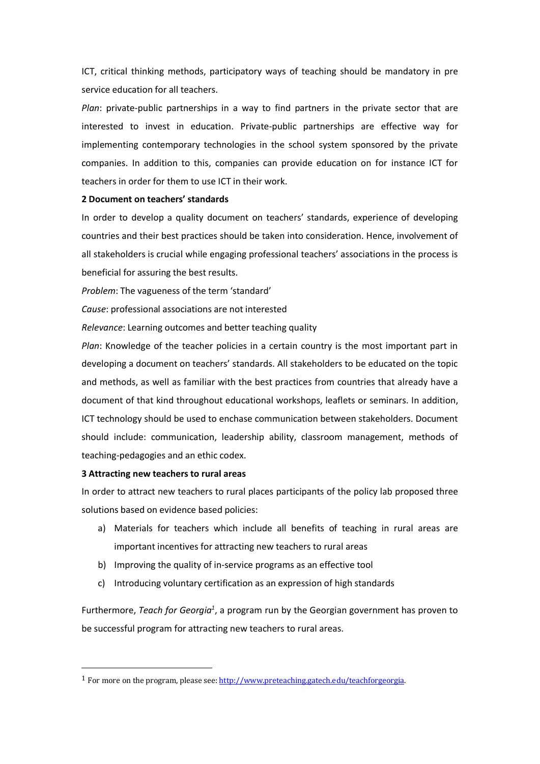ICT, critical thinking methods, participatory ways of teaching should be mandatory in pre service education for all teachers.

*Plan*: private-public partnerships in a way to find partners in the private sector that are interested to invest in education. Private-public partnerships are effective way for implementing contemporary technologies in the school system sponsored by the private companies. In addition to this, companies can provide education on for instance ICT for teachers in order for them to use ICT in their work.

### **2 Document on teachers' standards**

In order to develop a quality document on teachers' standards, experience of developing countries and their best practices should be taken into consideration. Hence, involvement of all stakeholders is crucial while engaging professional teachers' associations in the process is beneficial for assuring the best results.

*Problem*: The vagueness of the term 'standard'

*Cause*: professional associations are not interested

*Relevance*: Learning outcomes and better teaching quality

*Plan*: Knowledge of the teacher policies in a certain country is the most important part in developing a document on teachers' standards. All stakeholders to be educated on the topic and methods, as well as familiar with the best practices from countries that already have a document of that kind throughout educational workshops, leaflets or seminars. In addition, ICT technology should be used to enchase communication between stakeholders. Document should include: communication, leadership ability, classroom management, methods of teaching-pedagogies and an ethic codex.

### **3 Attracting new teachers to rural areas**

In order to attract new teachers to rural places participants of the policy lab proposed three solutions based on evidence based policies:

- a) Materials for teachers which include all benefits of teaching in rural areas are important incentives for attracting new teachers to rural areas
- b) Improving the quality of in-service programs as an effective tool
- c) Introducing voluntary certification as an expression of high standards

Furthermore, *Teach for Georgia<sup>1</sup>*, a program run by the Georgian government has proven to be successful program for attracting new teachers to rural areas.

<sup>&</sup>lt;sup>1</sup> For more on the program, please see: http://www.preteaching.gatech.edu/teachforgeorgia.